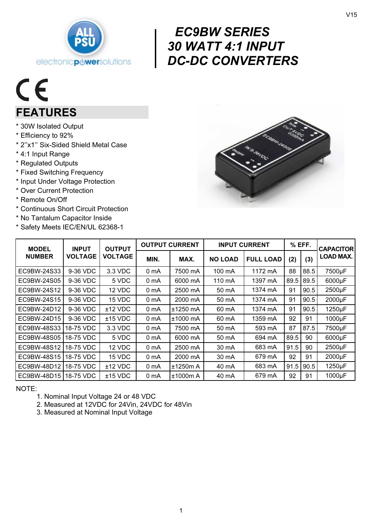

# $c \in$ FEATURES

- \* 30W Isolated Output
- \* Efficiency to 92%
- \* 2''x1'' Six-Sided Shield Metal Case
- \* 4:1 Input Range
- \* Regulated Outputs
- \* Fixed Switching Frequency
- \* Input Under Voltage Protection
- \* Over Current Protection
- \* Remote On/Off
- \* Continuous Short Circuit Protection
- \* No Tantalum Capacitor Inside
- \* Safety Meets IEC/EN/UL 62368-1



| <b>MODEL</b><br><b>NUMBER</b> | <b>INPUT</b><br><b>VOLTAGE</b> | <b>OUTPUT</b><br><b>VOLTAGE</b> | <b>OUTPUT CURRENT</b> |            | <b>INPUT CURRENT</b> |                  | % EFF. |      | <b>CAPACITOR</b> |
|-------------------------------|--------------------------------|---------------------------------|-----------------------|------------|----------------------|------------------|--------|------|------------------|
|                               |                                |                                 | MIN.                  | MAX.       | <b>NO LOAD</b>       | <b>FULL LOAD</b> | (2)    | (3)  | <b>LOAD MAX.</b> |
| EC9BW-24S33                   | 9-36 VDC                       | 3.3 VDC                         | 0 <sub>m</sub> A      | 7500 mA    | 100 mA               | 1172 mA          | 88     | 88.5 | 7500µF           |
| EC9BW-24S05                   | 9-36 VDC                       | 5 VDC                           | 0 <sub>m</sub> A      | 6000 mA    | 110 mA               | 1397 mA          | 89.5   | 89.5 | 6000µF           |
| EC9BW-24S12                   | 9-36 VDC                       | 12 VDC                          | 0 mA                  | 2500 mA    | 50 mA                | 1374 mA          | 91     | 90.5 | 2500µF           |
| EC9BW-24S15                   | 9-36 VDC                       | 15 VDC                          | 0 mA                  | 2000 mA    | 50 mA                | 1374 mA          | 91     | 90.5 | 2000µF           |
| EC9BW-24D12                   | 9-36 VDC                       | $±12$ VDC                       | 0 <sub>m</sub> A      | ±1250 mA   | 60 mA                | 1374 mA          | 91     | 90.5 | 1250µF           |
| EC9BW-24D15                   | 9-36 VDC                       | $±15$ VDC                       | 0 mA                  | $±1000$ mA | 60 mA                | 1359 mA          | 92     | 91   | 1000µF           |
| EC9BW-48S33                   | 18-75 VDC                      | 3.3 VDC                         | 0 <sub>m</sub> A      | 7500 mA    | 50 mA                | 593 mA           | 87     | 87.5 | 7500µF           |
| EC9BW-48S05                   | 18-75 VDC                      | 5 VDC                           | 0 mA                  | 6000 mA    | 50 mA                | 694 mA           | 89.5   | 90   | 6000µF           |
| EC9BW-48S12                   | 18-75 VDC                      | 12 VDC                          | 0 mA                  | 2500 mA    | 30 mA                | 683 mA           | 91.5   | 90   | 2500µF           |
| EC9BW-48S15                   | 18-75 VDC                      | 15 VDC                          | 0 <sub>m</sub> A      | 2000 mA    | 30 mA                | 679 mA           | 92     | 91   | 2000µF           |
| EC9BW-48D12                   | 18-75 VDC                      | $±12$ VDC                       | 0 mA                  | ±1250m A   | 40 mA                | 683 mA           | 91.5   | 90.5 | 1250µF           |
| EC9BW-48D15   18-75 VDC       |                                | $±15$ VDC                       | 0 <sub>m</sub> A      | ±1000m A   | 40 mA                | 679 mA           | 92     | 91   | 1000µF           |

 $\begin{array}{c} \nE\text{C} \\
30 \text{ V} \\
DC \n\end{array}$ 

EC9BW SERIES

30 WATT 4:1 INPUT

DC-DC CONVERTERS

NOTE:

- 1. Nominal Input Voltage 24 or 48 VDC
- 2. Measured at 12VDC for 24Vin, 24VDC for 48Vin
- 3. Measured at Nominal Input Voltage